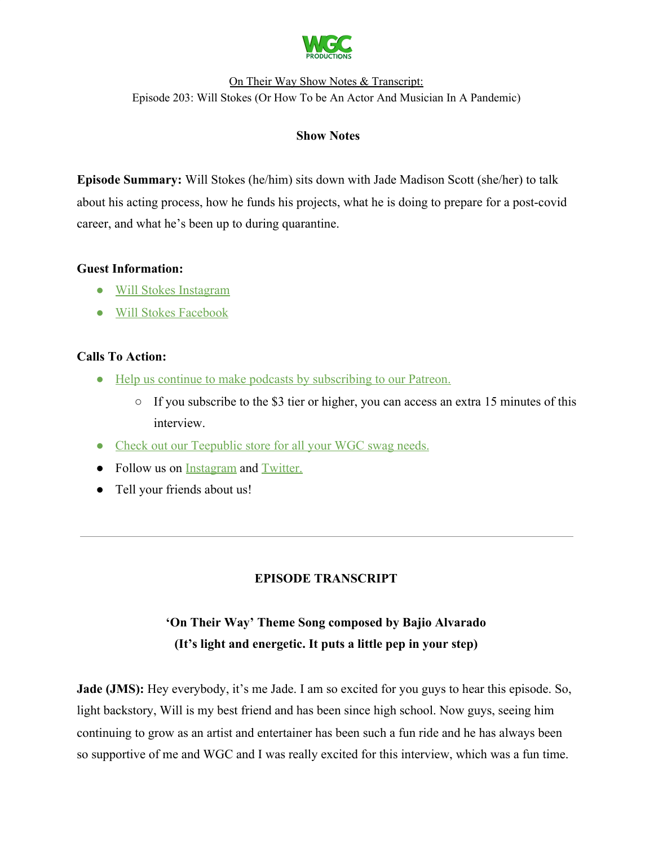

### **Show Notes**

**Episode Summary:** Will Stokes (he/him) sits down with Jade Madison Scott (she/her) to talk about his acting process, how he funds his projects, what he is doing to prepare for a post-covid career, and what he's been up to during quarantine.

### **Guest Information:**

- [Will Stokes Instagram](https://www.instagram.com/willrstokes/?hl=en)
- [Will Stokes Facebook](https://www.facebook.com/pg/willrstokes-104225381137250/posts/)

# **Calls To Action:**

- [Help us continue to make podcasts by subscribing to our Patreon.](https://www.patreon.com/withgoodco)
	- $\circ$  If you subscribe to the \$3 tier or higher, you can access an extra 15 minutes of this interview.
- [Check out our Teepublic store for all your WGC swag needs.](https://www.teepublic.com/user/wgcproductions)
- Follow us on [Instagram](https://www.instagram.com/withgoodco/) and [Twitter.](https://twitter.com/WithGoodCo)
- Tell your friends about us!

# **EPISODE TRANSCRIPT**

# **'On Their Way' Theme Song composed by Bajio Alvarado (It's light and energetic. It puts a little pep in your step)**

**Jade (JMS):** Hey everybody, it's me Jade. I am so excited for you guys to hear this episode. So, light backstory, Will is my best friend and has been since high school. Now guys, seeing him continuing to grow as an artist and entertainer has been such a fun ride and he has always been so supportive of me and WGC and I was really excited for this interview, which was a fun time.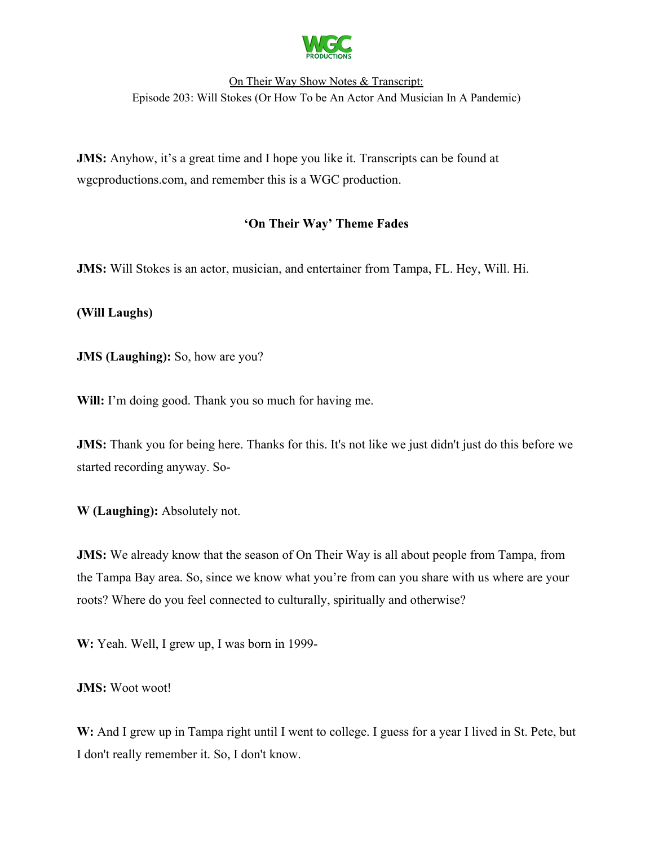

**JMS:** Anyhow, it's a great time and I hope you like it. Transcripts can be found at wgcproductions.com, and remember this is a WGC production.

# **'On Their Way' Theme Fades**

**JMS:** Will Stokes is an actor, musician, and entertainer from Tampa, FL. Hey, Will. Hi.

**(Will Laughs)**

**JMS (Laughing):** So, how are you?

Will: I'm doing good. Thank you so much for having me.

**JMS:** Thank you for being here. Thanks for this. It's not like we just didn't just do this before we started recording anyway. So-

**W (Laughing):** Absolutely not.

**JMS:** We already know that the season of On Their Way is all about people from Tampa, from the Tampa Bay area. So, since we know what you're from can you share with us where are your roots? Where do you feel connected to culturally, spiritually and otherwise?

**W:** Yeah. Well, I grew up, I was born in 1999-

**JMS:** Woot woot!

**W:** And I grew up in Tampa right until I went to college. I guess for a year I lived in St. Pete, but I don't really remember it. So, I don't know.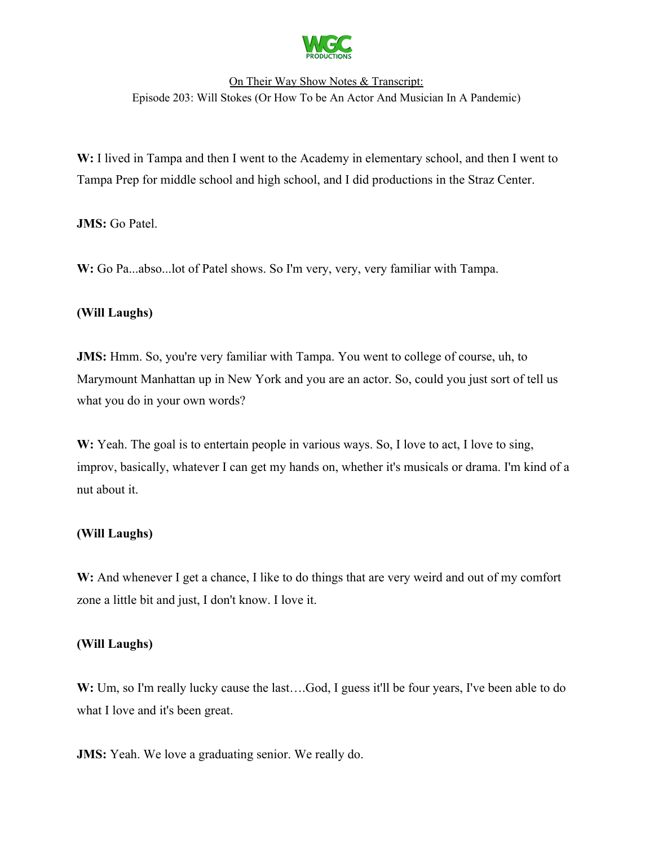

W: I lived in Tampa and then I went to the Academy in elementary school, and then I went to Tampa Prep for middle school and high school, and I did productions in the Straz Center.

**JMS:** Go Patel.

**W:** Go Pa...abso...lot of Patel shows. So I'm very, very, very familiar with Tampa.

### **(Will Laughs)**

**JMS:** Hmm. So, you're very familiar with Tampa. You went to college of course, uh, to Marymount Manhattan up in New York and you are an actor. So, could you just sort of tell us what you do in your own words?

W: Yeah. The goal is to entertain people in various ways. So, I love to act, I love to sing, improv, basically, whatever I can get my hands on, whether it's musicals or drama. I'm kind of a nut about it.

### **(Will Laughs)**

W: And whenever I get a chance, I like to do things that are very weird and out of my comfort zone a little bit and just, I don't know. I love it.

### **(Will Laughs)**

W: Um, so I'm really lucky cause the last....God, I guess it'll be four years, I've been able to do what I love and it's been great.

**JMS:** Yeah. We love a graduating senior. We really do.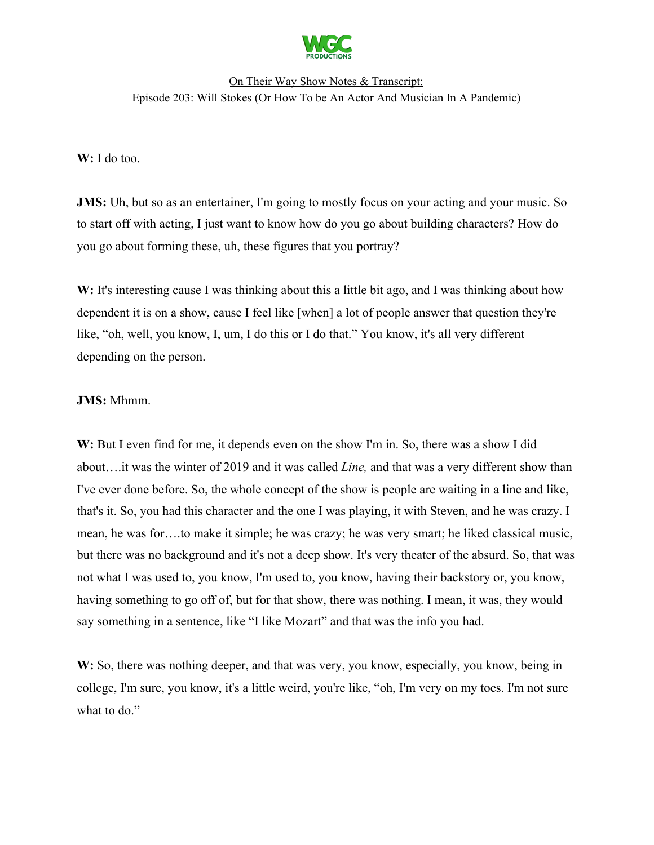

### **W:** I do too.

**JMS:** Uh, but so as an entertainer, I'm going to mostly focus on your acting and your music. So to start off with acting, I just want to know how do you go about building characters? How do you go about forming these, uh, these figures that you portray?

W: It's interesting cause I was thinking about this a little bit ago, and I was thinking about how dependent it is on a show, cause I feel like [when] a lot of people answer that question they're like, "oh, well, you know, I, um, I do this or I do that." You know, it's all very different depending on the person.

#### **JMS:** Mhmm.

**W:** But I even find for me, it depends even on the show I'm in. So, there was a show I did about….it was the winter of 2019 and it was called *Line,* and that was a very different show than I've ever done before. So, the whole concept of the show is people are waiting in a line and like, that's it. So, you had this character and the one I was playing, it with Steven, and he was crazy. I mean, he was for….to make it simple; he was crazy; he was very smart; he liked classical music, but there was no background and it's not a deep show. It's very theater of the absurd. So, that was not what I was used to, you know, I'm used to, you know, having their backstory or, you know, having something to go off of, but for that show, there was nothing. I mean, it was, they would say something in a sentence, like "I like Mozart" and that was the info you had.

W: So, there was nothing deeper, and that was very, you know, especially, you know, being in college, I'm sure, you know, it's a little weird, you're like, "oh, I'm very on my toes. I'm not sure what to do."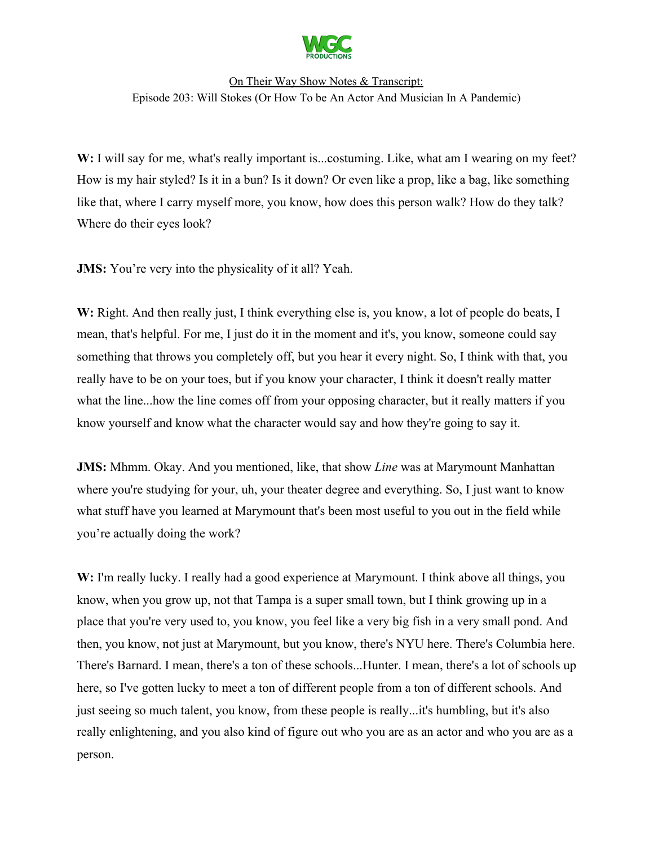

W: I will say for me, what's really important is...costuming. Like, what am I wearing on my feet? How is my hair styled? Is it in a bun? Is it down? Or even like a prop, like a bag, like something like that, where I carry myself more, you know, how does this person walk? How do they talk? Where do their eyes look?

**JMS:** You're very into the physicality of it all? Yeah.

W: Right. And then really just, I think everything else is, you know, a lot of people do beats, I mean, that's helpful. For me, I just do it in the moment and it's, you know, someone could say something that throws you completely off, but you hear it every night. So, I think with that, you really have to be on your toes, but if you know your character, I think it doesn't really matter what the line...how the line comes off from your opposing character, but it really matters if you know yourself and know what the character would say and how they're going to say it.

**JMS:** Mhmm. Okay. And you mentioned, like, that show *Line* was at Marymount Manhattan where you're studying for your, uh, your theater degree and everything. So, I just want to know what stuff have you learned at Marymount that's been most useful to you out in the field while you're actually doing the work?

**W:** I'm really lucky. I really had a good experience at Marymount. I think above all things, you know, when you grow up, not that Tampa is a super small town, but I think growing up in a place that you're very used to, you know, you feel like a very big fish in a very small pond. And then, you know, not just at Marymount, but you know, there's NYU here. There's Columbia here. There's Barnard. I mean, there's a ton of these schools...Hunter. I mean, there's a lot of schools up here, so I've gotten lucky to meet a ton of different people from a ton of different schools. And just seeing so much talent, you know, from these people is really...it's humbling, but it's also really enlightening, and you also kind of figure out who you are as an actor and who you are as a person.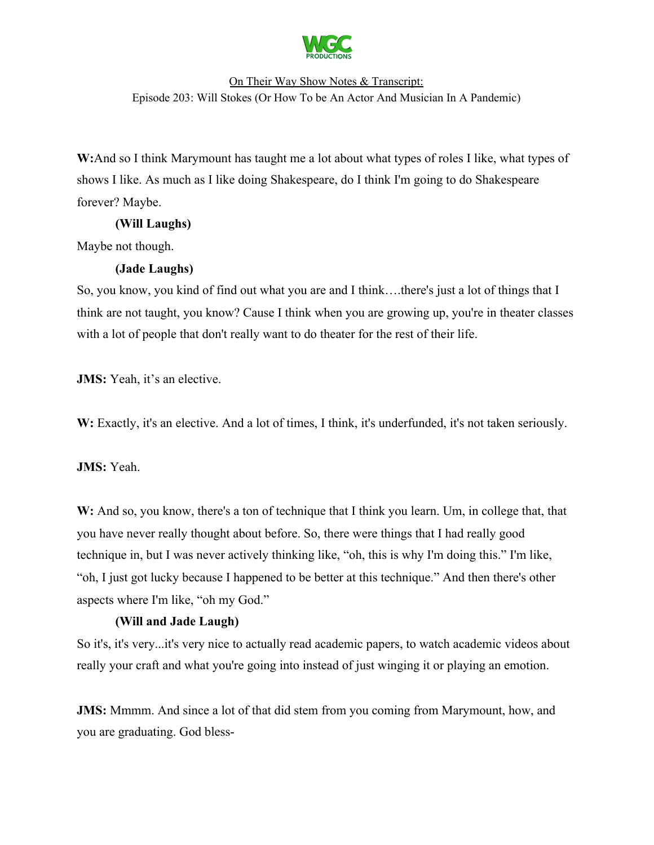

**W:**And so I think Marymount has taught me a lot about what types of roles I like, what types of shows I like. As much as I like doing Shakespeare, do I think I'm going to do Shakespeare forever? Maybe.

# **(Will Laughs)**

Maybe not though.

# **(Jade Laughs)**

So, you know, you kind of find out what you are and I think….there's just a lot of things that I think are not taught, you know? Cause I think when you are growing up, you're in theater classes with a lot of people that don't really want to do theater for the rest of their life.

**JMS:** Yeah, it's an elective.

W: Exactly, it's an elective. And a lot of times, I think, it's underfunded, it's not taken seriously.

**JMS:** Yeah.

**W:** And so, you know, there's a ton of technique that I think you learn. Um, in college that, that you have never really thought about before. So, there were things that I had really good technique in, but I was never actively thinking like, "oh, this is why I'm doing this." I'm like, "oh, I just got lucky because I happened to be better at this technique." And then there's other aspects where I'm like, "oh my God."

# **(Will and Jade Laugh)**

So it's, it's very...it's very nice to actually read academic papers, to watch academic videos about really your craft and what you're going into instead of just winging it or playing an emotion.

**JMS:** Mmmm. And since a lot of that did stem from you coming from Marymount, how, and you are graduating. God bless-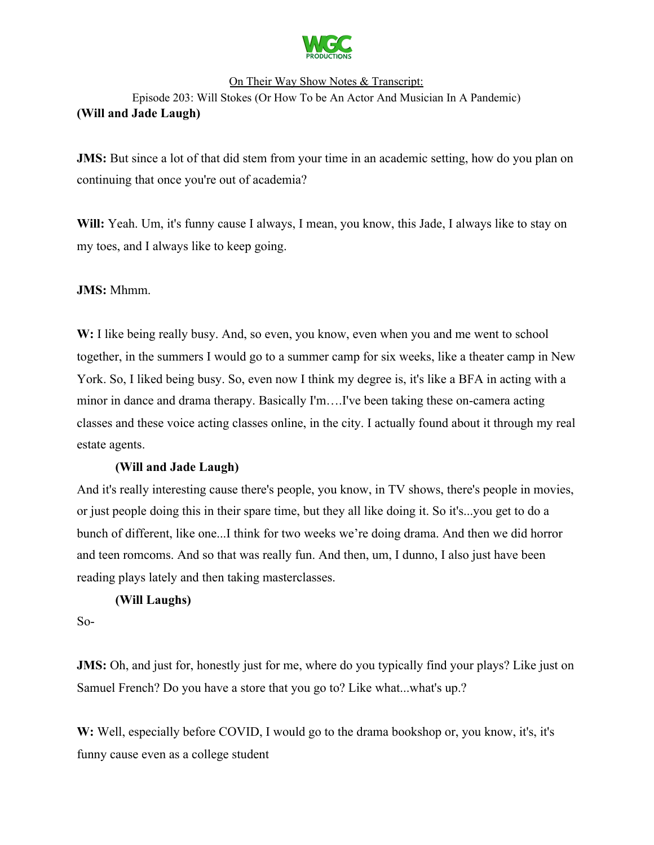

**JMS:** But since a lot of that did stem from your time in an academic setting, how do you plan on continuing that once you're out of academia?

**Will:** Yeah. Um, it's funny cause I always, I mean, you know, this Jade, I always like to stay on my toes, and I always like to keep going.

**JMS:** Mhmm.

W: I like being really busy. And, so even, you know, even when you and me went to school together, in the summers I would go to a summer camp for six weeks, like a theater camp in New York. So, I liked being busy. So, even now I think my degree is, it's like a BFA in acting with a minor in dance and drama therapy. Basically I'm….I've been taking these on-camera acting classes and these voice acting classes online, in the city. I actually found about it through my real estate agents.

### **(Will and Jade Laugh)**

And it's really interesting cause there's people, you know, in TV shows, there's people in movies, or just people doing this in their spare time, but they all like doing it. So it's...you get to do a bunch of different, like one...I think for two weeks we're doing drama. And then we did horror and teen romcoms. And so that was really fun. And then, um, I dunno, I also just have been reading plays lately and then taking masterclasses.

### **(Will Laughs)**

So-

**JMS:** Oh, and just for, honestly just for me, where do you typically find your plays? Like just on Samuel French? Do you have a store that you go to? Like what...what's up.?

**W:** Well, especially before COVID, I would go to the drama bookshop or, you know, it's, it's funny cause even as a college student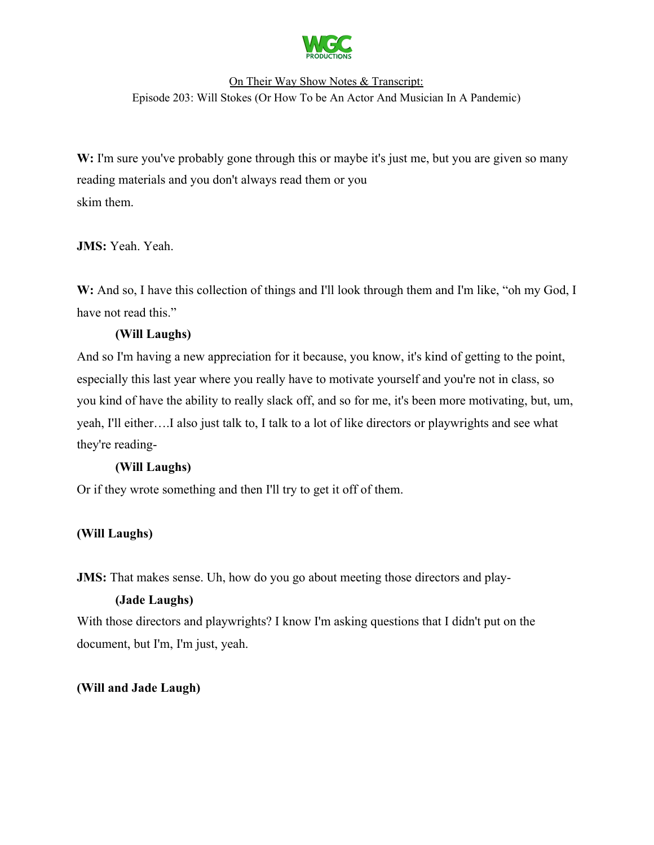

W: I'm sure you've probably gone through this or maybe it's just me, but you are given so many reading materials and you don't always read them or you skim them.

# JMS: Yeah. Yeah.

W: And so, I have this collection of things and I'll look through them and I'm like, "oh my God, I have not read this."

# **(Will Laughs)**

And so I'm having a new appreciation for it because, you know, it's kind of getting to the point, especially this last year where you really have to motivate yourself and you're not in class, so you kind of have the ability to really slack off, and so for me, it's been more motivating, but, um, yeah, I'll either….I also just talk to, I talk to a lot of like directors or playwrights and see what they're reading-

### **(Will Laughs)**

Or if they wrote something and then I'll try to get it off of them.

# **(Will Laughs)**

**JMS:** That makes sense. Uh, how do you go about meeting those directors and play-

### **(Jade Laughs)**

With those directors and playwrights? I know I'm asking questions that I didn't put on the document, but I'm, I'm just, yeah.

### **(Will and Jade Laugh)**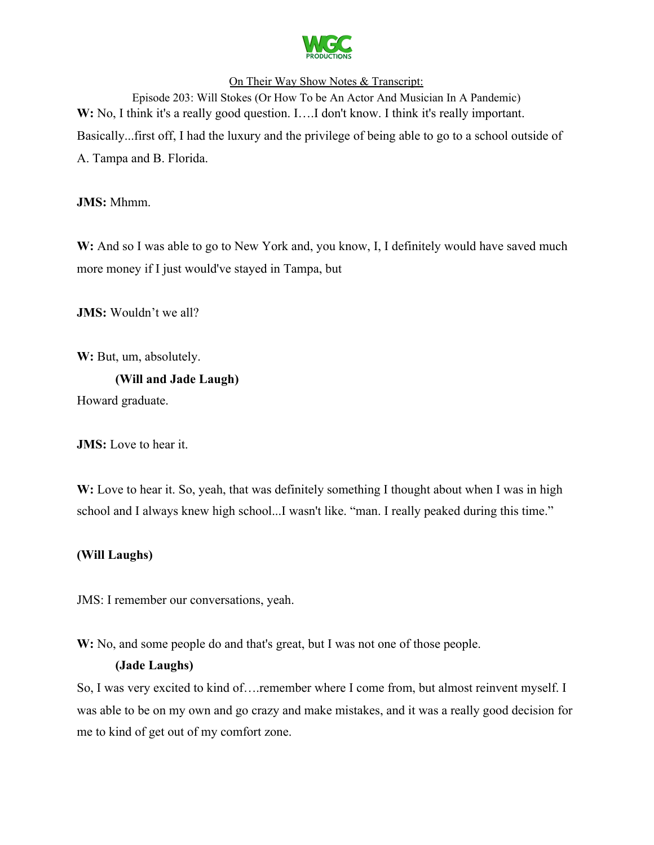

Episode 203: Will Stokes (Or How To be An Actor And Musician In A Pandemic) W: No, I think it's a really good question. I....I don't know. I think it's really important. Basically...first off, I had the luxury and the privilege of being able to go to a school outside of A. Tampa and B. Florida.

**JMS:** Mhmm.

W: And so I was able to go to New York and, you know, I, I definitely would have saved much more money if I just would've stayed in Tampa, but

**JMS:** Wouldn't we all?

W: But, um, absolutely.

**(Will and Jade Laugh)**

Howard graduate.

**JMS:** Love to hear it.

W: Love to hear it. So, yeah, that was definitely something I thought about when I was in high school and I always knew high school...I wasn't like. "man. I really peaked during this time."

# **(Will Laughs)**

JMS: I remember our conversations, yeah.

**W:** No, and some people do and that's great, but I was not one of those people.

### **(Jade Laughs)**

So, I was very excited to kind of.... remember where I come from, but almost reinvent myself. I was able to be on my own and go crazy and make mistakes, and it was a really good decision for me to kind of get out of my comfort zone.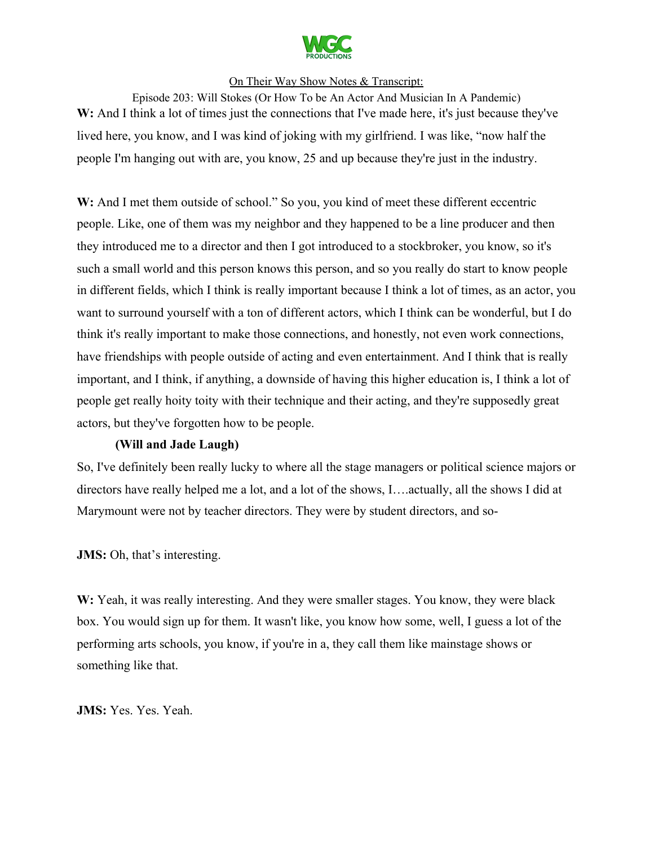

Episode 203: Will Stokes (Or How To be An Actor And Musician In A Pandemic) W: And I think a lot of times just the connections that I've made here, it's just because they've lived here, you know, and I was kind of joking with my girlfriend. I was like, "now half the people I'm hanging out with are, you know, 25 and up because they're just in the industry.

**W:** And I met them outside of school." So you, you kind of meet these different eccentric people. Like, one of them was my neighbor and they happened to be a line producer and then they introduced me to a director and then I got introduced to a stockbroker, you know, so it's such a small world and this person knows this person, and so you really do start to know people in different fields, which I think is really important because I think a lot of times, as an actor, you want to surround yourself with a ton of different actors, which I think can be wonderful, but I do think it's really important to make those connections, and honestly, not even work connections, have friendships with people outside of acting and even entertainment. And I think that is really important, and I think, if anything, a downside of having this higher education is, I think a lot of people get really hoity toity with their technique and their acting, and they're supposedly great actors, but they've forgotten how to be people.

### **(Will and Jade Laugh)**

So, I've definitely been really lucky to where all the stage managers or political science majors or directors have really helped me a lot, and a lot of the shows, I….actually, all the shows I did at Marymount were not by teacher directors. They were by student directors, and so-

**JMS:** Oh, that's interesting.

**W:** Yeah, it was really interesting. And they were smaller stages. You know, they were black box. You would sign up for them. It wasn't like, you know how some, well, I guess a lot of the performing arts schools, you know, if you're in a, they call them like mainstage shows or something like that.

JMS: Yes. Yes. Yeah.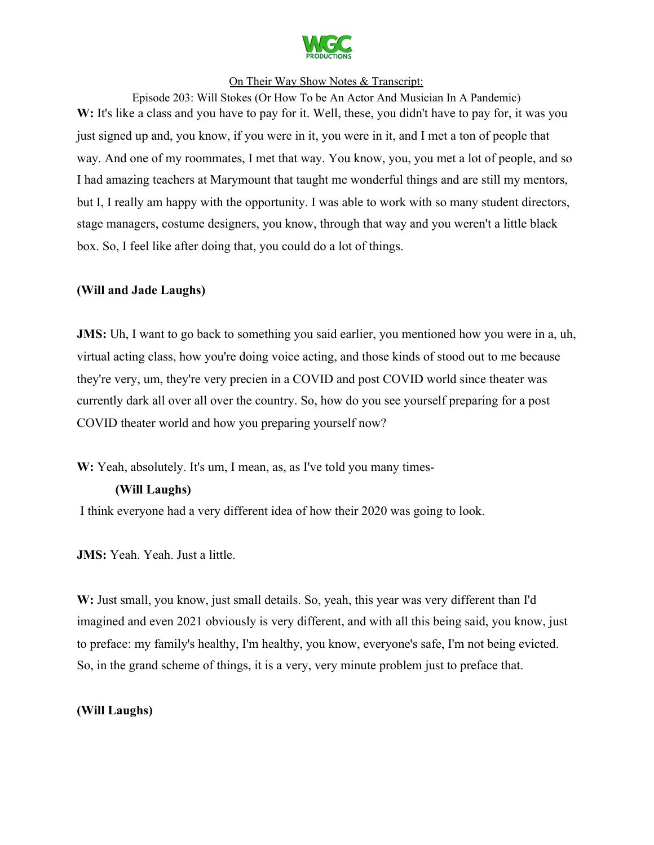

Episode 203: Will Stokes (Or How To be An Actor And Musician In A Pandemic) W: It's like a class and you have to pay for it. Well, these, you didn't have to pay for, it was you just signed up and, you know, if you were in it, you were in it, and I met a ton of people that way. And one of my roommates, I met that way. You know, you, you met a lot of people, and so I had amazing teachers at Marymount that taught me wonderful things and are still my mentors, but I, I really am happy with the opportunity. I was able to work with so many student directors, stage managers, costume designers, you know, through that way and you weren't a little black box. So, I feel like after doing that, you could do a lot of things.

### **(Will and Jade Laughs)**

**JMS:** Uh, I want to go back to something you said earlier, you mentioned how you were in a, uh, virtual acting class, how you're doing voice acting, and those kinds of stood out to me because they're very, um, they're very precien in a COVID and post COVID world since theater was currently dark all over all over the country. So, how do you see yourself preparing for a post COVID theater world and how you preparing yourself now?

W: Yeah, absolutely. It's um, I mean, as, as I've told you many times-

#### **(Will Laughs)**

I think everyone had a very different idea of how their 2020 was going to look.

**JMS:** Yeah. Yeah. Just a little.

**W:** Just small, you know, just small details. So, yeah, this year was very different than I'd imagined and even 2021 obviously is very different, and with all this being said, you know, just to preface: my family's healthy, I'm healthy, you know, everyone's safe, I'm not being evicted. So, in the grand scheme of things, it is a very, very minute problem just to preface that.

### **(Will Laughs)**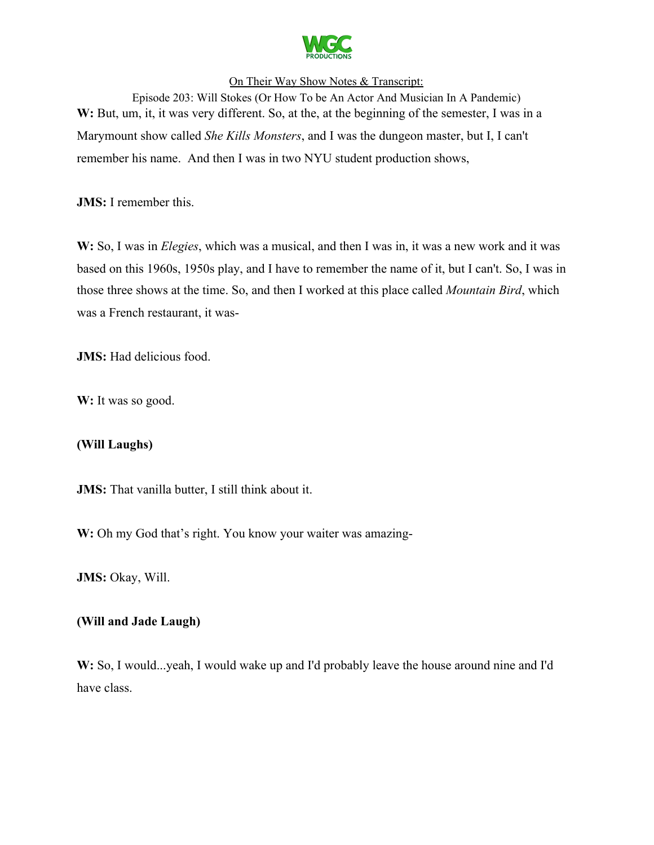

Episode 203: Will Stokes (Or How To be An Actor And Musician In A Pandemic) W: But, um, it, it was very different. So, at the, at the beginning of the semester, I was in a Marymount show called *She Kills Monsters*, and I was the dungeon master, but I, I can't remember his name. And then I was in two NYU student production shows,

**JMS:** I remember this.

**W:** So, I was in *Elegies*, which was a musical, and then I was in, it was a new work and it was based on this 1960s, 1950s play, and I have to remember the name of it, but I can't. So, I was in those three shows at the time. So, and then I worked at this place called *Mountain Bird*, which was a French restaurant, it was-

**JMS:** Had delicious food.

W: It was so good.

### **(Will Laughs)**

**JMS:** That vanilla butter, I still think about it.

W: Oh my God that's right. You know your waiter was amazing-

**JMS: Okay, Will.** 

#### **(Will and Jade Laugh)**

**W:** So, I would...yeah, I would wake up and I'd probably leave the house around nine and I'd have class.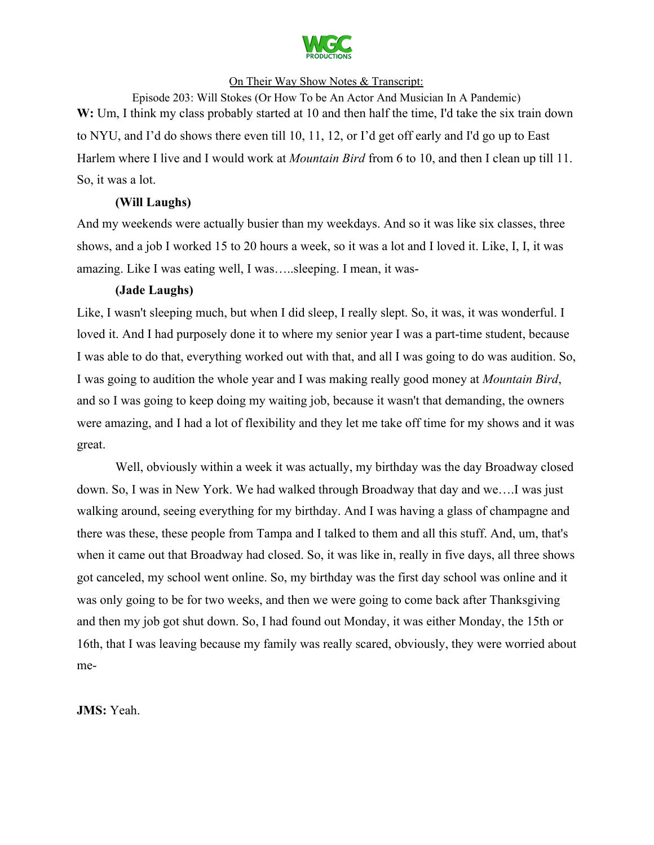

Episode 203: Will Stokes (Or How To be An Actor And Musician In A Pandemic) W: Um, I think my class probably started at 10 and then half the time, I'd take the six train down to NYU, and I'd do shows there even till 10, 11, 12, or I'd get off early and I'd go up to East Harlem where I live and I would work at *Mountain Bird* from 6 to 10, and then I clean up till 11. So, it was a lot.

### **(Will Laughs)**

And my weekends were actually busier than my weekdays. And so it was like six classes, three shows, and a job I worked 15 to 20 hours a week, so it was a lot and I loved it. Like, I, I, it was amazing. Like I was eating well, I was…..sleeping. I mean, it was-

# **(Jade Laughs)**

Like, I wasn't sleeping much, but when I did sleep, I really slept. So, it was, it was wonderful. I loved it. And I had purposely done it to where my senior year I was a part-time student, because I was able to do that, everything worked out with that, and all I was going to do was audition. So, I was going to audition the whole year and I was making really good money at *Mountain Bird*, and so I was going to keep doing my waiting job, because it wasn't that demanding, the owners were amazing, and I had a lot of flexibility and they let me take off time for my shows and it was great.

Well, obviously within a week it was actually, my birthday was the day Broadway closed down. So, I was in New York. We had walked through Broadway that day and we….I was just walking around, seeing everything for my birthday. And I was having a glass of champagne and there was these, these people from Tampa and I talked to them and all this stuff. And, um, that's when it came out that Broadway had closed. So, it was like in, really in five days, all three shows got canceled, my school went online. So, my birthday was the first day school was online and it was only going to be for two weeks, and then we were going to come back after Thanksgiving and then my job got shut down. So, I had found out Monday, it was either Monday, the 15th or 16th, that I was leaving because my family was really scared, obviously, they were worried about me-

**JMS:** Yeah.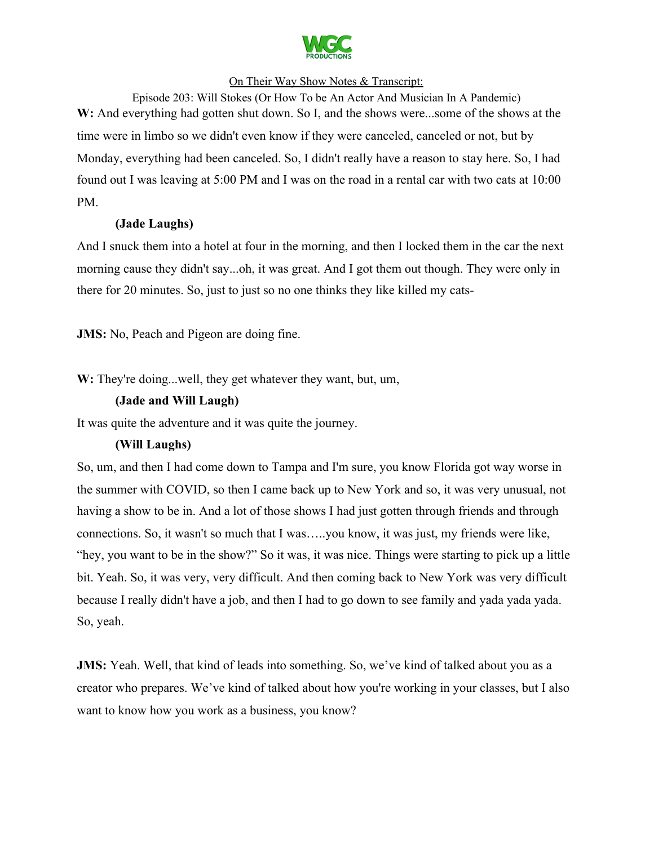

Episode 203: Will Stokes (Or How To be An Actor And Musician In A Pandemic) W: And everything had gotten shut down. So I, and the shows were...some of the shows at the time were in limbo so we didn't even know if they were canceled, canceled or not, but by Monday, everything had been canceled. So, I didn't really have a reason to stay here. So, I had found out I was leaving at 5:00 PM and I was on the road in a rental car with two cats at 10:00 PM.

### **(Jade Laughs)**

And I snuck them into a hotel at four in the morning, and then I locked them in the car the next morning cause they didn't say...oh, it was great. And I got them out though. They were only in there for 20 minutes. So, just to just so no one thinks they like killed my cats-

**JMS:** No, Peach and Pigeon are doing fine.

**W:** They're doing...well, they get whatever they want, but, um,

### **(Jade and Will Laugh)**

It was quite the adventure and it was quite the journey.

### **(Will Laughs)**

So, um, and then I had come down to Tampa and I'm sure, you know Florida got way worse in the summer with COVID, so then I came back up to New York and so, it was very unusual, not having a show to be in. And a lot of those shows I had just gotten through friends and through connections. So, it wasn't so much that I was…..you know, it was just, my friends were like, "hey, you want to be in the show?" So it was, it was nice. Things were starting to pick up a little bit. Yeah. So, it was very, very difficult. And then coming back to New York was very difficult because I really didn't have a job, and then I had to go down to see family and yada yada yada. So, yeah.

**JMS:** Yeah. Well, that kind of leads into something. So, we've kind of talked about you as a creator who prepares. We've kind of talked about how you're working in your classes, but I also want to know how you work as a business, you know?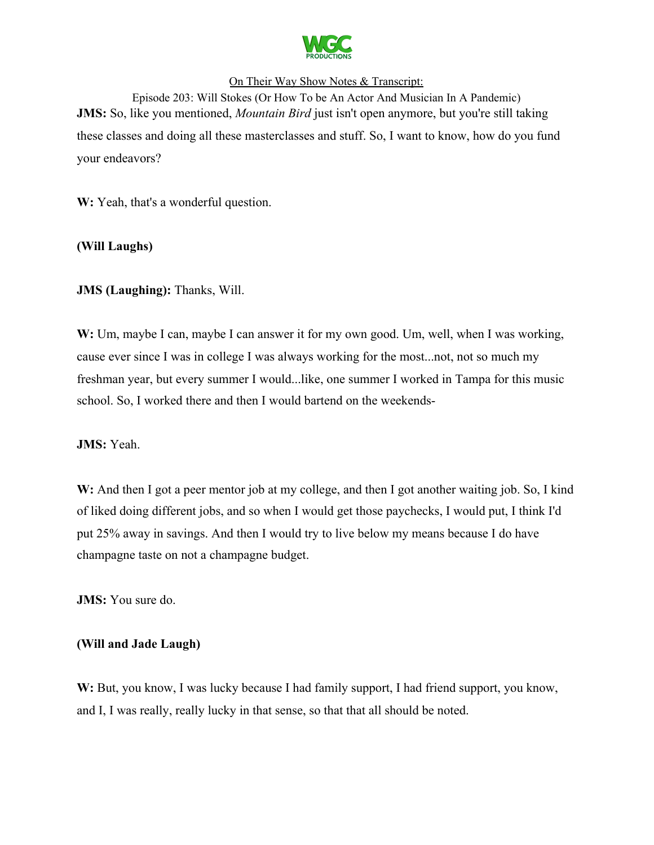

Episode 203: Will Stokes (Or How To be An Actor And Musician In A Pandemic) **JMS:** So, like you mentioned, *Mountain Bird* just isn't open anymore, but you're still taking these classes and doing all these masterclasses and stuff. So, I want to know, how do you fund your endeavors?

W: Yeah, that's a wonderful question.

### **(Will Laughs)**

**JMS (Laughing):** Thanks, Will.

W: Um, maybe I can, maybe I can answer it for my own good. Um, well, when I was working, cause ever since I was in college I was always working for the most...not, not so much my freshman year, but every summer I would...like, one summer I worked in Tampa for this music school. So, I worked there and then I would bartend on the weekends-

#### **JMS:** Yeah.

W: And then I got a peer mentor job at my college, and then I got another waiting job. So, I kind of liked doing different jobs, and so when I would get those paychecks, I would put, I think I'd put 25% away in savings. And then I would try to live below my means because I do have champagne taste on not a champagne budget.

**JMS:** You sure do.

#### **(Will and Jade Laugh)**

W: But, you know, I was lucky because I had family support, I had friend support, you know, and I, I was really, really lucky in that sense, so that that all should be noted.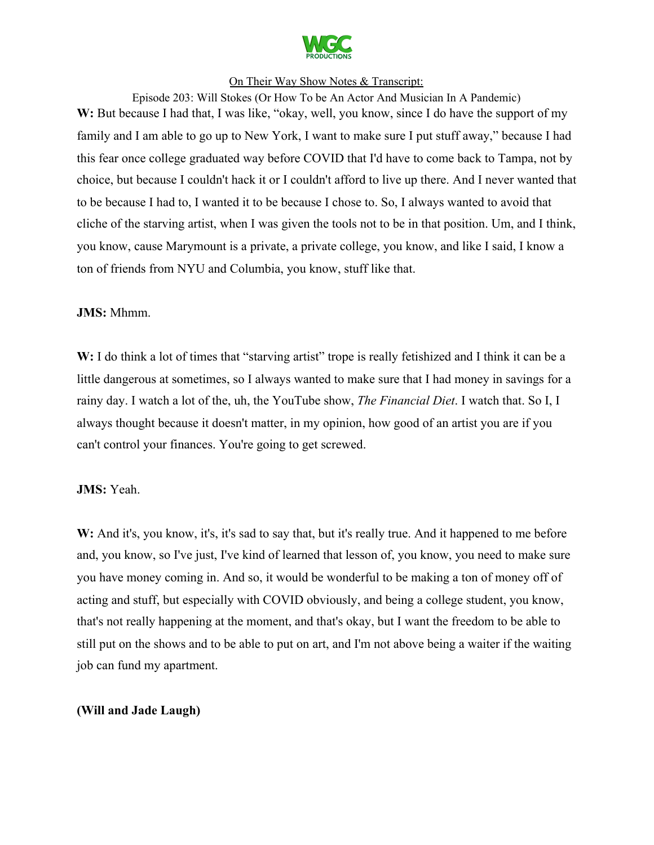

Episode 203: Will Stokes (Or How To be An Actor And Musician In A Pandemic) W: But because I had that, I was like, "okay, well, you know, since I do have the support of my family and I am able to go up to New York, I want to make sure I put stuff away," because I had this fear once college graduated way before COVID that I'd have to come back to Tampa, not by choice, but because I couldn't hack it or I couldn't afford to live up there. And I never wanted that to be because I had to, I wanted it to be because I chose to. So, I always wanted to avoid that cliche of the starving artist, when I was given the tools not to be in that position. Um, and I think, you know, cause Marymount is a private, a private college, you know, and like I said, I know a ton of friends from NYU and Columbia, you know, stuff like that.

#### **JMS:** Mhmm.

W: I do think a lot of times that "starving artist" trope is really fetishized and I think it can be a little dangerous at sometimes, so I always wanted to make sure that I had money in savings for a rainy day. I watch a lot of the, uh, the YouTube show, *The Financial Diet*. I watch that. So I, I always thought because it doesn't matter, in my opinion, how good of an artist you are if you can't control your finances. You're going to get screwed.

#### **JMS:** Yeah.

W: And it's, you know, it's, it's sad to say that, but it's really true. And it happened to me before and, you know, so I've just, I've kind of learned that lesson of, you know, you need to make sure you have money coming in. And so, it would be wonderful to be making a ton of money off of acting and stuff, but especially with COVID obviously, and being a college student, you know, that's not really happening at the moment, and that's okay, but I want the freedom to be able to still put on the shows and to be able to put on art, and I'm not above being a waiter if the waiting job can fund my apartment.

#### **(Will and Jade Laugh)**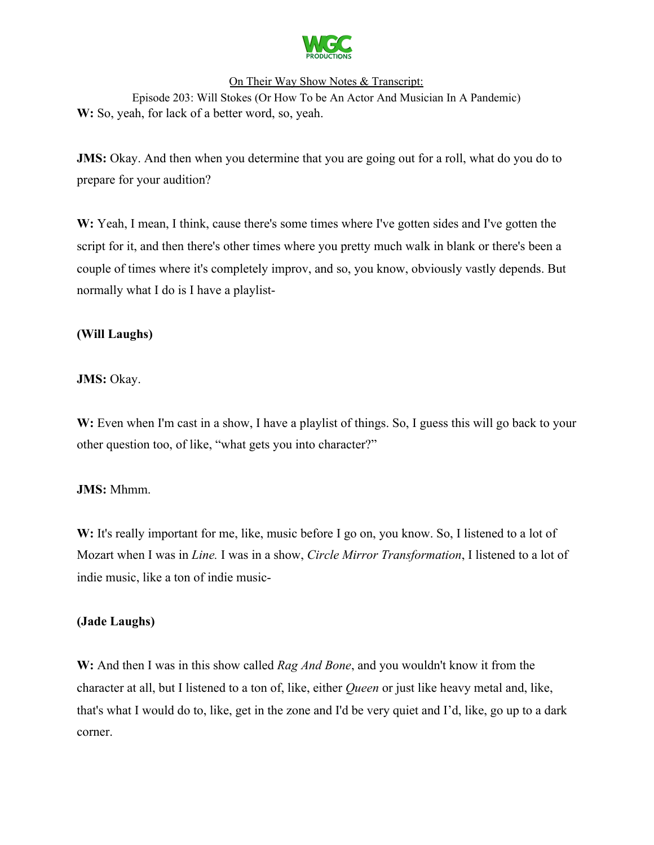

Episode 203: Will Stokes (Or How To be An Actor And Musician In A Pandemic) **W:** So, yeah, for lack of a better word, so, yeah.

**JMS:** Okay. And then when you determine that you are going out for a roll, what do you do to prepare for your audition?

W: Yeah, I mean, I think, cause there's some times where I've gotten sides and I've gotten the script for it, and then there's other times where you pretty much walk in blank or there's been a couple of times where it's completely improv, and so, you know, obviously vastly depends. But normally what I do is I have a playlist-

# **(Will Laughs)**

### **JMS:** Okay.

W: Even when I'm cast in a show, I have a playlist of things. So, I guess this will go back to your other question too, of like, "what gets you into character?"

#### **JMS:** Mhmm.

W: It's really important for me, like, music before I go on, you know. So, I listened to a lot of Mozart when I was in *Line.* I was in a show, *Circle Mirror Transformation*, I listened to a lot of indie music, like a ton of indie music-

#### **(Jade Laughs)**

**W:** And then I was in this show called *Rag And Bone*, and you wouldn't know it from the character at all, but I listened to a ton of, like, either *Queen* or just like heavy metal and, like, that's what I would do to, like, get in the zone and I'd be very quiet and I'd, like, go up to a dark corner.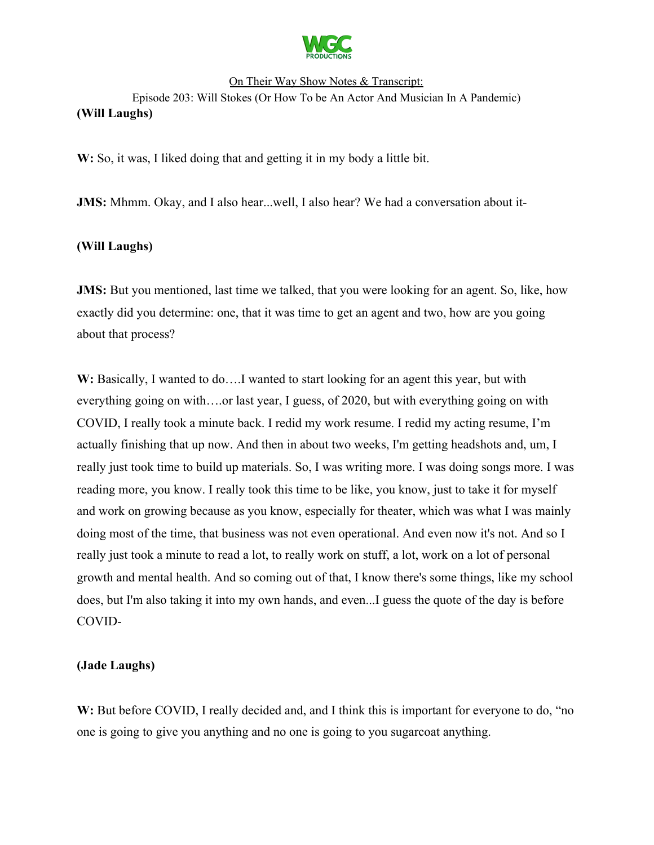

W: So, it was, I liked doing that and getting it in my body a little bit.

**JMS:** Mhmm. Okay, and I also hear...well, I also hear? We had a conversation about it-

### **(Will Laughs)**

**JMS:** But you mentioned, last time we talked, that you were looking for an agent. So, like, how exactly did you determine: one, that it was time to get an agent and two, how are you going about that process?

W: Basically, I wanted to do....I wanted to start looking for an agent this year, but with everything going on with….or last year, I guess, of 2020, but with everything going on with COVID, I really took a minute back. I redid my work resume. I redid my acting resume, I'm actually finishing that up now. And then in about two weeks, I'm getting headshots and, um, I really just took time to build up materials. So, I was writing more. I was doing songs more. I was reading more, you know. I really took this time to be like, you know, just to take it for myself and work on growing because as you know, especially for theater, which was what I was mainly doing most of the time, that business was not even operational. And even now it's not. And so I really just took a minute to read a lot, to really work on stuff, a lot, work on a lot of personal growth and mental health. And so coming out of that, I know there's some things, like my school does, but I'm also taking it into my own hands, and even...I guess the quote of the day is before COVID-

#### **(Jade Laughs)**

W: But before COVID, I really decided and, and I think this is important for everyone to do, "no one is going to give you anything and no one is going to you sugarcoat anything.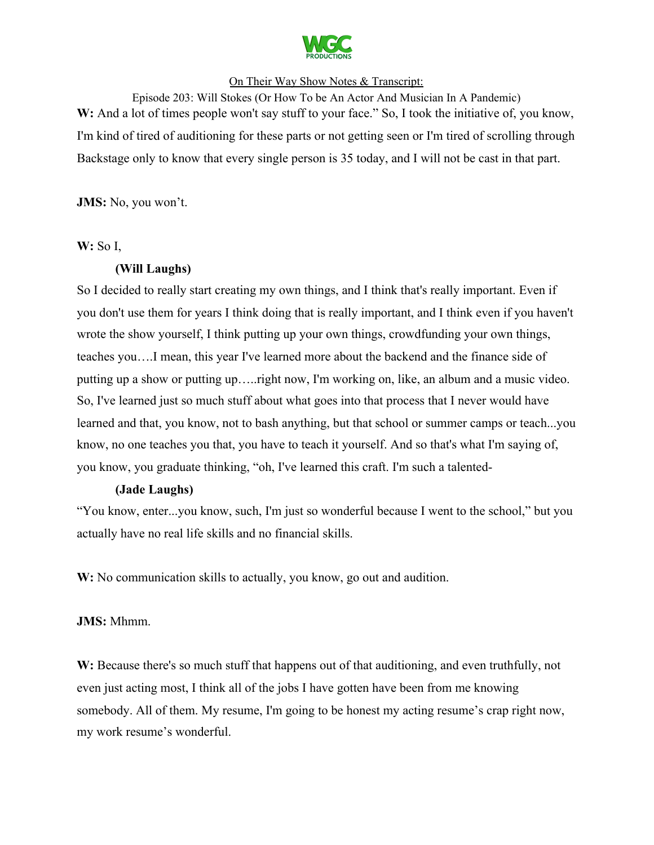

Episode 203: Will Stokes (Or How To be An Actor And Musician In A Pandemic) W: And a lot of times people won't say stuff to your face." So, I took the initiative of, you know, I'm kind of tired of auditioning for these parts or not getting seen or I'm tired of scrolling through Backstage only to know that every single person is 35 today, and I will not be cast in that part.

**JMS:** No, you won't.

### **W:** So I,

### **(Will Laughs)**

So I decided to really start creating my own things, and I think that's really important. Even if you don't use them for years I think doing that is really important, and I think even if you haven't wrote the show yourself, I think putting up your own things, crowdfunding your own things, teaches you….I mean, this year I've learned more about the backend and the finance side of putting up a show or putting up…..right now, I'm working on, like, an album and a music video. So, I've learned just so much stuff about what goes into that process that I never would have learned and that, you know, not to bash anything, but that school or summer camps or teach...you know, no one teaches you that, you have to teach it yourself. And so that's what I'm saying of, you know, you graduate thinking, "oh, I've learned this craft. I'm such a talented-

### **(Jade Laughs)**

"You know, enter...you know, such, I'm just so wonderful because I went to the school," but you actually have no real life skills and no financial skills.

W: No communication skills to actually, you know, go out and audition.

### **JMS:** Mhmm.

W: Because there's so much stuff that happens out of that auditioning, and even truthfully, not even just acting most, I think all of the jobs I have gotten have been from me knowing somebody. All of them. My resume, I'm going to be honest my acting resume's crap right now, my work resume's wonderful.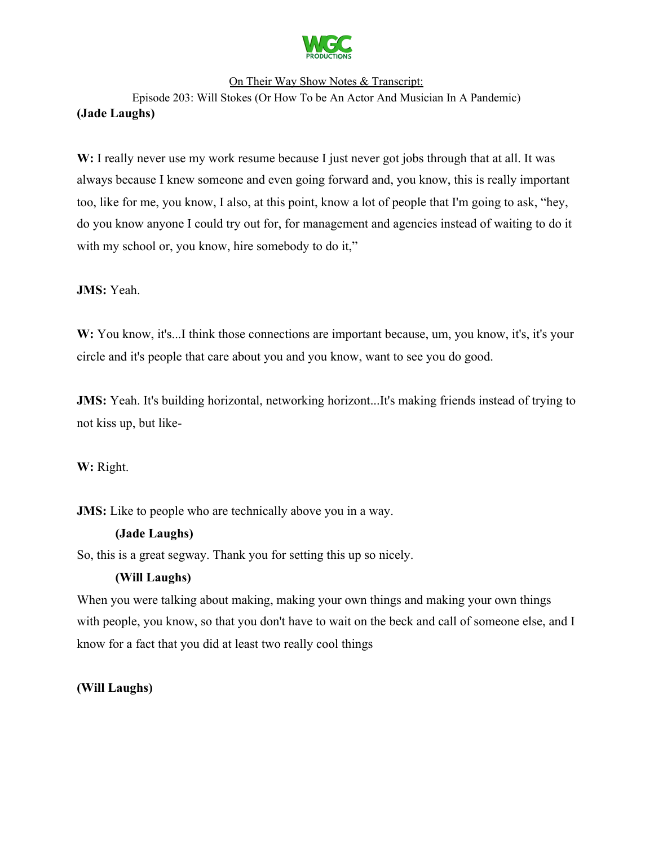

Episode 203: Will Stokes (Or How To be An Actor And Musician In A Pandemic) **(Jade Laughs)**

W: I really never use my work resume because I just never got jobs through that at all. It was always because I knew someone and even going forward and, you know, this is really important too, like for me, you know, I also, at this point, know a lot of people that I'm going to ask, "hey, do you know anyone I could try out for, for management and agencies instead of waiting to do it with my school or, you know, hire somebody to do it,"

**JMS:** Yeah.

W: You know, it's...I think those connections are important because, um, you know, it's, it's your circle and it's people that care about you and you know, want to see you do good.

**JMS:** Yeah. It's building horizontal, networking horizont...It's making friends instead of trying to not kiss up, but like-

**W:** Right.

**JMS:** Like to people who are technically above you in a way.

### **(Jade Laughs)**

So, this is a great segway. Thank you for setting this up so nicely.

# **(Will Laughs)**

When you were talking about making, making your own things and making your own things with people, you know, so that you don't have to wait on the beck and call of someone else, and I know for a fact that you did at least two really cool things

**(Will Laughs)**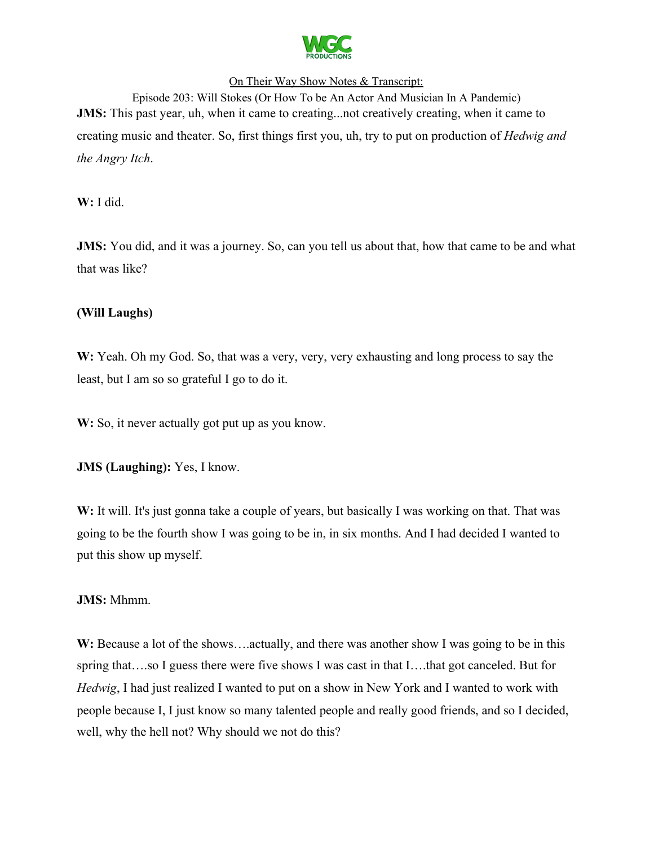

Episode 203: Will Stokes (Or How To be An Actor And Musician In A Pandemic) **JMS:** This past year, uh, when it came to creating...not creatively creating, when it came to creating music and theater. So, first things first you, uh, try to put on production of *Hedwig and the Angry Itch*.

**W:** I did.

**JMS:** You did, and it was a journey. So, can you tell us about that, how that came to be and what that was like?

# **(Will Laughs)**

**W:** Yeah. Oh my God. So, that was a very, very, very exhausting and long process to say the least, but I am so so grateful I go to do it.

W: So, it never actually got put up as you know.

**JMS (Laughing):** Yes, I know.

W: It will. It's just gonna take a couple of years, but basically I was working on that. That was going to be the fourth show I was going to be in, in six months. And I had decided I wanted to put this show up myself.

### **JMS:** Mhmm.

W: Because a lot of the shows....actually, and there was another show I was going to be in this spring that….so I guess there were five shows I was cast in that I….that got canceled. But for *Hedwig*, I had just realized I wanted to put on a show in New York and I wanted to work with people because I, I just know so many talented people and really good friends, and so I decided, well, why the hell not? Why should we not do this?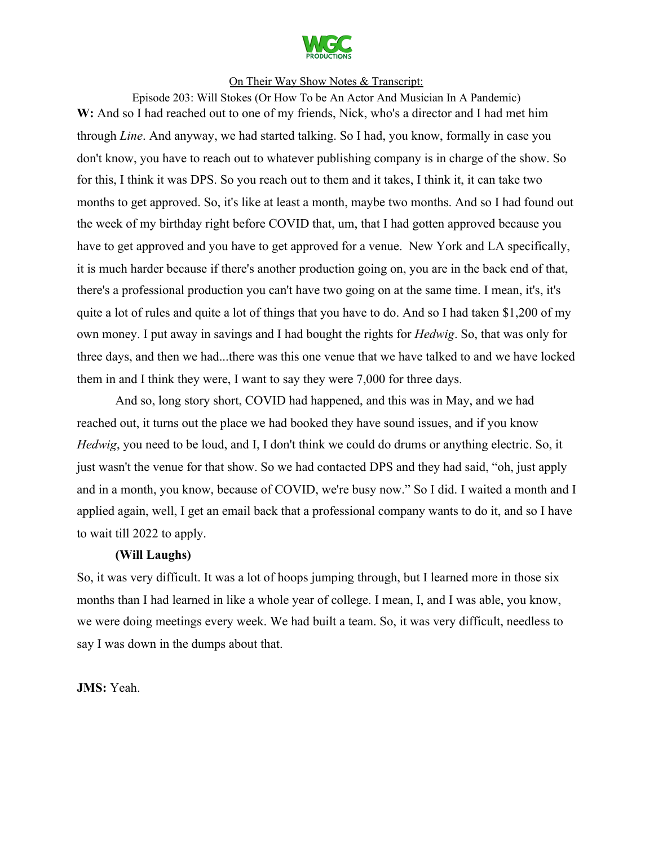

Episode 203: Will Stokes (Or How To be An Actor And Musician In A Pandemic) W: And so I had reached out to one of my friends, Nick, who's a director and I had met him through *Line*. And anyway, we had started talking. So I had, you know, formally in case you don't know, you have to reach out to whatever publishing company is in charge of the show. So for this, I think it was DPS. So you reach out to them and it takes, I think it, it can take two months to get approved. So, it's like at least a month, maybe two months. And so I had found out the week of my birthday right before COVID that, um, that I had gotten approved because you have to get approved and you have to get approved for a venue. New York and LA specifically, it is much harder because if there's another production going on, you are in the back end of that, there's a professional production you can't have two going on at the same time. I mean, it's, it's quite a lot of rules and quite a lot of things that you have to do. And so I had taken \$1,200 of my own money. I put away in savings and I had bought the rights for *Hedwig*. So, that was only for three days, and then we had...there was this one venue that we have talked to and we have locked them in and I think they were, I want to say they were 7,000 for three days.

And so, long story short, COVID had happened, and this was in May, and we had reached out, it turns out the place we had booked they have sound issues, and if you know *Hedwig*, you need to be loud, and I, I don't think we could do drums or anything electric. So, it just wasn't the venue for that show. So we had contacted DPS and they had said, "oh, just apply and in a month, you know, because of COVID, we're busy now." So I did. I waited a month and I applied again, well, I get an email back that a professional company wants to do it, and so I have to wait till 2022 to apply.

#### **(Will Laughs)**

So, it was very difficult. It was a lot of hoops jumping through, but I learned more in those six months than I had learned in like a whole year of college. I mean, I, and I was able, you know, we were doing meetings every week. We had built a team. So, it was very difficult, needless to say I was down in the dumps about that.

**JMS:** Yeah.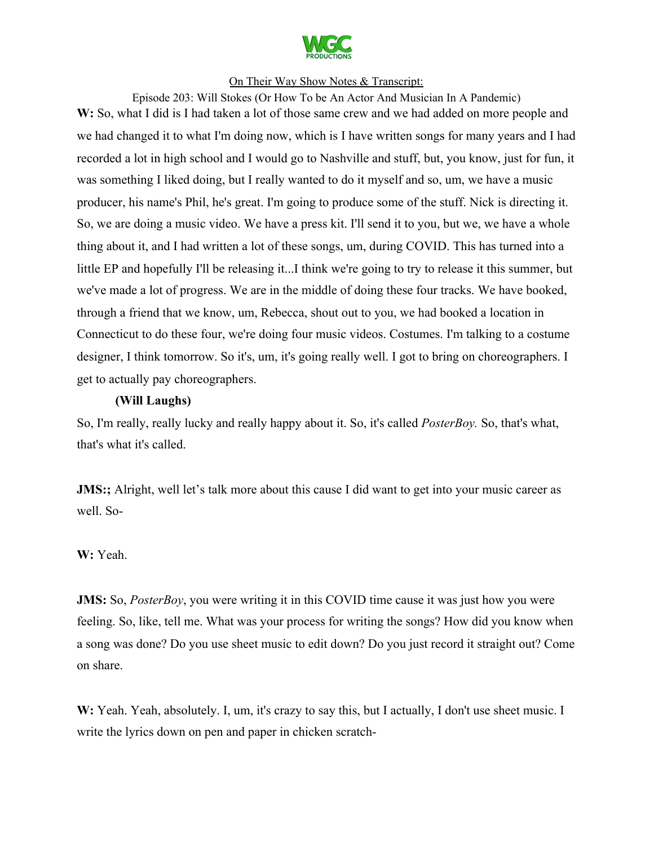

Episode 203: Will Stokes (Or How To be An Actor And Musician In A Pandemic) W: So, what I did is I had taken a lot of those same crew and we had added on more people and we had changed it to what I'm doing now, which is I have written songs for many years and I had recorded a lot in high school and I would go to Nashville and stuff, but, you know, just for fun, it was something I liked doing, but I really wanted to do it myself and so, um, we have a music producer, his name's Phil, he's great. I'm going to produce some of the stuff. Nick is directing it. So, we are doing a music video. We have a press kit. I'll send it to you, but we, we have a whole thing about it, and I had written a lot of these songs, um, during COVID. This has turned into a little EP and hopefully I'll be releasing it...I think we're going to try to release it this summer, but we've made a lot of progress. We are in the middle of doing these four tracks. We have booked, through a friend that we know, um, Rebecca, shout out to you, we had booked a location in Connecticut to do these four, we're doing four music videos. Costumes. I'm talking to a costume designer, I think tomorrow. So it's, um, it's going really well. I got to bring on choreographers. I get to actually pay choreographers.

#### **(Will Laughs)**

So, I'm really, really lucky and really happy about it. So, it's called *PosterBoy.* So, that's what, that's what it's called.

**JMS:**; Alright, well let's talk more about this cause I did want to get into your music career as well. So-

### **W:** Yeah.

**JMS:** So, *PosterBoy*, you were writing it in this COVID time cause it was just how you were feeling. So, like, tell me. What was your process for writing the songs? How did you know when a song was done? Do you use sheet music to edit down? Do you just record it straight out? Come on share.

W: Yeah. Yeah, absolutely. I, um, it's crazy to say this, but I actually, I don't use sheet music. I write the lyrics down on pen and paper in chicken scratch-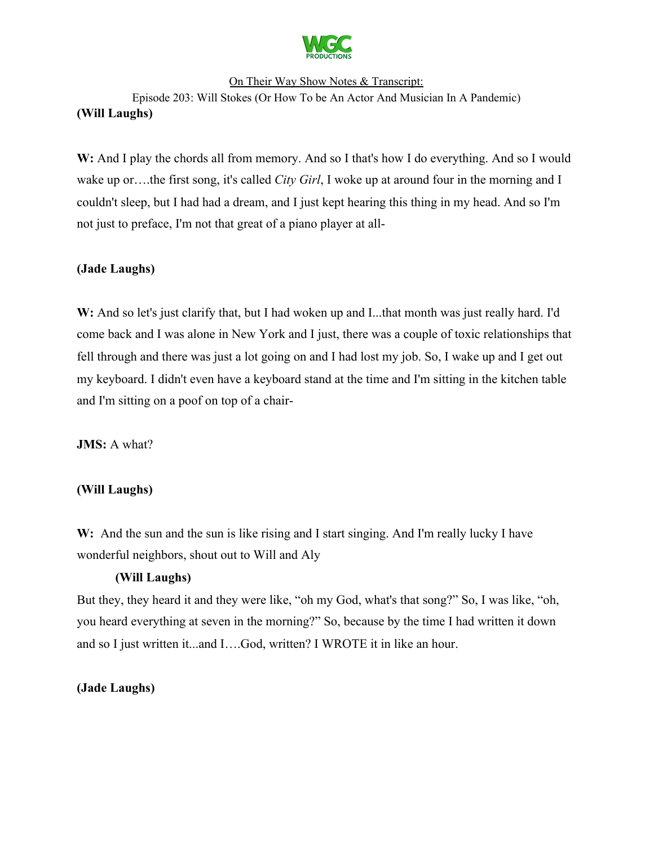

Episode 203: Will Stokes (Or How To be An Actor And Musician In A Pandemic) **(Will Laughs)**

W: And I play the chords all from memory. And so I that's how I do everything. And so I would wake up or….the first song, it's called *City Girl*, I woke up at around four in the morning and I couldn't sleep, but I had had a dream, and I just kept hearing this thing in my head. And so I'm not just to preface, I'm not that great of a piano player at all-

# **(Jade Laughs)**

W: And so let's just clarify that, but I had woken up and I...that month was just really hard. I'd come back and I was alone in New York and I just, there was a couple of toxic relationships that fell through and there was just a lot going on and I had lost my job. So, I wake up and I get out my keyboard. I didn't even have a keyboard stand at the time and I'm sitting in the kitchen table and I'm sitting on a poof on top of a chair-

**JMS:** A what?

### **(Will Laughs)**

W: And the sun and the sun is like rising and I start singing. And I'm really lucky I have wonderful neighbors, shout out to Will and Aly

### **(Will Laughs)**

But they, they heard it and they were like, "oh my God, what's that song?" So, I was like, "oh, you heard everything at seven in the morning?" So, because by the time I had written it down and so I just written it...and I….God, written? I WROTE it in like an hour.

### **(Jade Laughs)**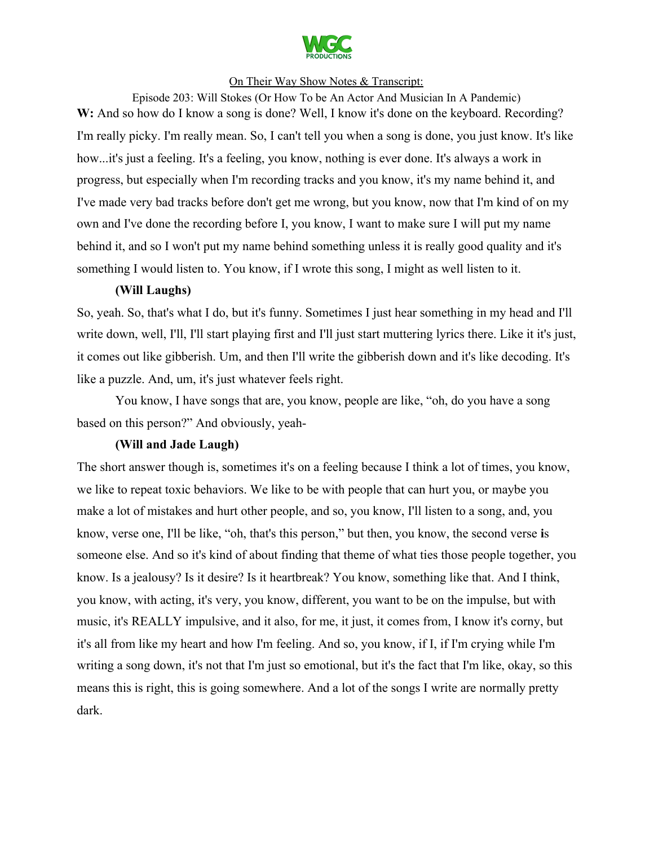

Episode 203: Will Stokes (Or How To be An Actor And Musician In A Pandemic) W: And so how do I know a song is done? Well, I know it's done on the keyboard. Recording? I'm really picky. I'm really mean. So, I can't tell you when a song is done, you just know. It's like how...it's just a feeling. It's a feeling, you know, nothing is ever done. It's always a work in progress, but especially when I'm recording tracks and you know, it's my name behind it, and I've made very bad tracks before don't get me wrong, but you know, now that I'm kind of on my own and I've done the recording before I, you know, I want to make sure I will put my name behind it, and so I won't put my name behind something unless it is really good quality and it's something I would listen to. You know, if I wrote this song, I might as well listen to it.

#### **(Will Laughs)**

So, yeah. So, that's what I do, but it's funny. Sometimes I just hear something in my head and I'll write down, well, I'll, I'll start playing first and I'll just start muttering lyrics there. Like it it's just, it comes out like gibberish. Um, and then I'll write the gibberish down and it's like decoding. It's like a puzzle. And, um, it's just whatever feels right.

You know, I have songs that are, you know, people are like, "oh, do you have a song based on this person?" And obviously, yeah-

#### **(Will and Jade Laugh)**

The short answer though is, sometimes it's on a feeling because I think a lot of times, you know, we like to repeat toxic behaviors. We like to be with people that can hurt you, or maybe you make a lot of mistakes and hurt other people, and so, you know, I'll listen to a song, and, you know, verse one, I'll be like, "oh, that's this person," but then, you know, the second verse **i**s someone else. And so it's kind of about finding that theme of what ties those people together, you know. Is a jealousy? Is it desire? Is it heartbreak? You know, something like that. And I think, you know, with acting, it's very, you know, different, you want to be on the impulse, but with music, it's REALLY impulsive, and it also, for me, it just, it comes from, I know it's corny, but it's all from like my heart and how I'm feeling. And so, you know, if I, if I'm crying while I'm writing a song down, it's not that I'm just so emotional, but it's the fact that I'm like, okay, so this means this is right, this is going somewhere. And a lot of the songs I write are normally pretty dark.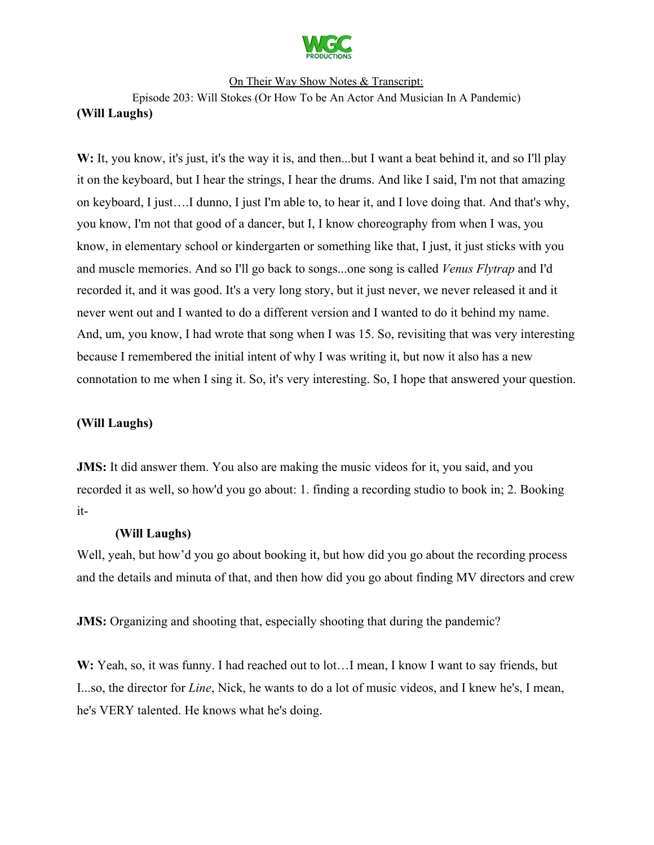

Episode 203: Will Stokes (Or How To be An Actor And Musician In A Pandemic) **(Will Laughs)**

W: It, you know, it's just, it's the way it is, and then...but I want a beat behind it, and so I'll play it on the keyboard, but I hear the strings, I hear the drums. And like I said, I'm not that amazing on keyboard, I just….I dunno, I just I'm able to, to hear it, and I love doing that. And that's why, you know, I'm not that good of a dancer, but I, I know choreography from when I was, you know, in elementary school or kindergarten or something like that, I just, it just sticks with you and muscle memories. And so I'll go back to songs...one song is called *Venus Flytrap* and I'd recorded it, and it was good. It's a very long story, but it just never, we never released it and it never went out and I wanted to do a different version and I wanted to do it behind my name. And, um, you know, I had wrote that song when I was 15. So, revisiting that was very interesting because I remembered the initial intent of why I was writing it, but now it also has a new connotation to me when I sing it. So, it's very interesting. So, I hope that answered your question.

### **(Will Laughs)**

**JMS:** It did answer them. You also are making the music videos for it, you said, and you recorded it as well, so how'd you go about: 1. finding a recording studio to book in; 2. Booking it-

### **(Will Laughs)**

Well, yeah, but how'd you go about booking it, but how did you go about the recording process and the details and minuta of that, and then how did you go about finding MV directors and crew

**JMS:** Organizing and shooting that, especially shooting that during the pandemic?

**W:** Yeah, so, it was funny. I had reached out to lot…I mean, I know I want to say friends, but I...so, the director for *Line*, Nick, he wants to do a lot of music videos, and I knew he's, I mean, he's VERY talented. He knows what he's doing.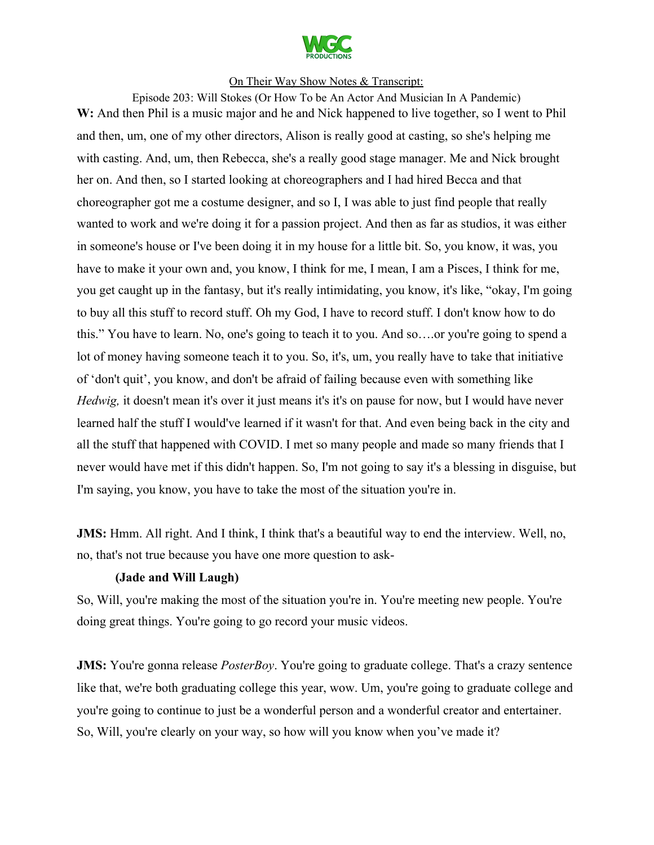

Episode 203: Will Stokes (Or How To be An Actor And Musician In A Pandemic) **W:** And then Phil is a music major and he and Nick happened to live together, so I went to Phil and then, um, one of my other directors, Alison is really good at casting, so she's helping me with casting. And, um, then Rebecca, she's a really good stage manager. Me and Nick brought her on. And then, so I started looking at choreographers and I had hired Becca and that choreographer got me a costume designer, and so I, I was able to just find people that really wanted to work and we're doing it for a passion project. And then as far as studios, it was either in someone's house or I've been doing it in my house for a little bit. So, you know, it was, you have to make it your own and, you know, I think for me, I mean, I am a Pisces, I think for me, you get caught up in the fantasy, but it's really intimidating, you know, it's like, "okay, I'm going to buy all this stuff to record stuff. Oh my God, I have to record stuff. I don't know how to do this." You have to learn. No, one's going to teach it to you. And so….or you're going to spend a lot of money having someone teach it to you. So, it's, um, you really have to take that initiative of 'don't quit', you know, and don't be afraid of failing because even with something like *Hedwig,* it doesn't mean it's over it just means it's it's on pause for now, but I would have never learned half the stuff I would've learned if it wasn't for that. And even being back in the city and all the stuff that happened with COVID. I met so many people and made so many friends that I never would have met if this didn't happen. So, I'm not going to say it's a blessing in disguise, but I'm saying, you know, you have to take the most of the situation you're in.

**JMS:** Hmm. All right. And I think, I think that's a beautiful way to end the interview. Well, no, no, that's not true because you have one more question to ask-

#### **(Jade and Will Laugh)**

So, Will, you're making the most of the situation you're in. You're meeting new people. You're doing great things. You're going to go record your music videos.

**JMS:** You're gonna release *PosterBoy*. You're going to graduate college. That's a crazy sentence like that, we're both graduating college this year, wow. Um, you're going to graduate college and you're going to continue to just be a wonderful person and a wonderful creator and entertainer. So, Will, you're clearly on your way, so how will you know when you've made it?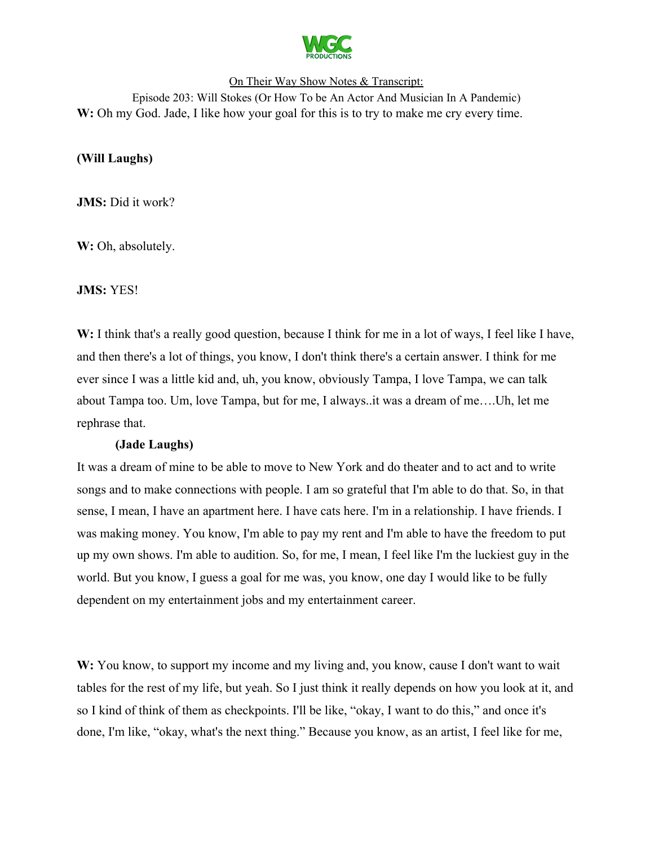

# On Their Way Show Notes & Transcript: Episode 203: Will Stokes (Or How To be An Actor And Musician In A Pandemic) **W:** Oh my God. Jade, I like how your goal for this is to try to make me cry every time.

# **(Will Laughs)**

**JMS:** Did it work?

W: Oh, absolutely.

**JMS:** YES!

W: I think that's a really good question, because I think for me in a lot of ways, I feel like I have, and then there's a lot of things, you know, I don't think there's a certain answer. I think for me ever since I was a little kid and, uh, you know, obviously Tampa, I love Tampa, we can talk about Tampa too. Um, love Tampa, but for me, I always..it was a dream of me….Uh, let me rephrase that.

#### **(Jade Laughs)**

It was a dream of mine to be able to move to New York and do theater and to act and to write songs and to make connections with people. I am so grateful that I'm able to do that. So, in that sense, I mean, I have an apartment here. I have cats here. I'm in a relationship. I have friends. I was making money. You know, I'm able to pay my rent and I'm able to have the freedom to put up my own shows. I'm able to audition. So, for me, I mean, I feel like I'm the luckiest guy in the world. But you know, I guess a goal for me was, you know, one day I would like to be fully dependent on my entertainment jobs and my entertainment career.

W: You know, to support my income and my living and, you know, cause I don't want to wait tables for the rest of my life, but yeah. So I just think it really depends on how you look at it, and so I kind of think of them as checkpoints. I'll be like, "okay, I want to do this," and once it's done, I'm like, "okay, what's the next thing." Because you know, as an artist, I feel like for me,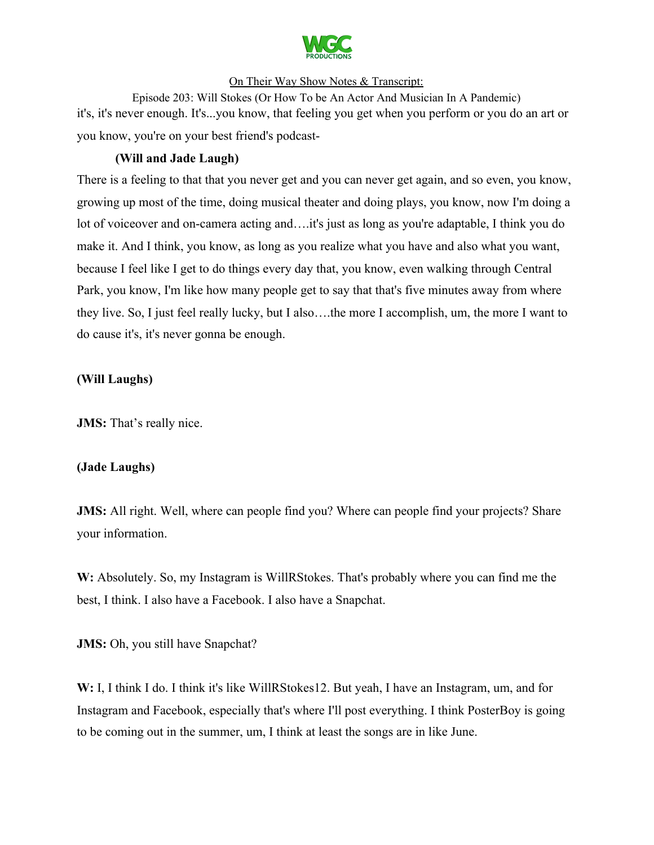

Episode 203: Will Stokes (Or How To be An Actor And Musician In A Pandemic) it's, it's never enough. It's...you know, that feeling you get when you perform or you do an art or you know, you're on your best friend's podcast-

# **(Will and Jade Laugh)**

There is a feeling to that that you never get and you can never get again, and so even, you know, growing up most of the time, doing musical theater and doing plays, you know, now I'm doing a lot of voiceover and on-camera acting and….it's just as long as you're adaptable, I think you do make it. And I think, you know, as long as you realize what you have and also what you want, because I feel like I get to do things every day that, you know, even walking through Central Park, you know, I'm like how many people get to say that that's five minutes away from where they live. So, I just feel really lucky, but I also….the more I accomplish, um, the more I want to do cause it's, it's never gonna be enough.

### **(Will Laughs)**

**JMS:** That's really nice.

#### **(Jade Laughs)**

**JMS:** All right. Well, where can people find you? Where can people find your projects? Share your information.

**W:** Absolutely. So, my Instagram is WillRStokes. That's probably where you can find me the best, I think. I also have a Facebook. I also have a Snapchat.

**JMS:** Oh, you still have Snapchat?

**W:** I, I think I do. I think it's like WillRStokes12. But yeah, I have an Instagram, um, and for Instagram and Facebook, especially that's where I'll post everything. I think PosterBoy is going to be coming out in the summer, um, I think at least the songs are in like June.